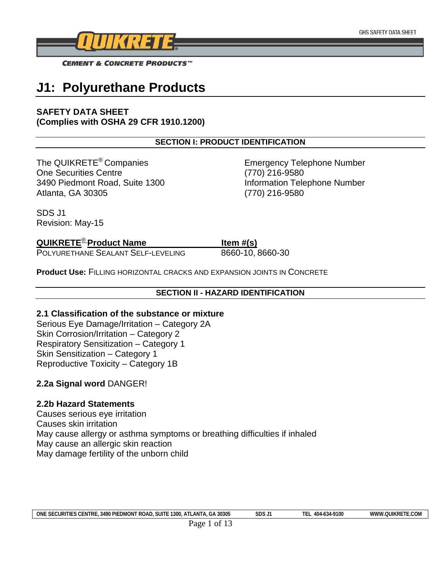

# **J1: Polyurethane Products**

## **SAFETY DATA SHEET (Complies with OSHA 29 CFR 1910.1200)**

## **SECTION I: PRODUCT IDENTIFICATION**

The QUIKRETE<sup>®</sup> Companies Emergency Telephone Number One Securities Centre (770) 216-9580 3490 Piedmont Road, Suite 1300 Information Telephone Number Atlanta, GA 30305 (770) 216-9580

SDS J1 Revision: May-15

## **QUIKRETE**<sup>®</sup> Product Name Item #(s)

POLYURETHANE SEALANT SELF-LEVELING 8660-10, 8660-30

**Product Use:** FILLING HORIZONTAL CRACKS AND EXPANSION JOINTS IN CONCRETE

## **SECTION II - HAZARD IDENTIFICATION**

## **2.1 Classification of the substance or mixture**

Serious Eye Damage/Irritation – Category 2A Skin Corrosion/Irritation – Category 2 Respiratory Sensitization – Category 1 Skin Sensitization – Category 1 Reproductive Toxicity – Category 1B

## **2.2a Signal word** DANGER!

## **2.2b Hazard Statements**

Causes serious eye irritation Causes skin irritation May cause allergy or asthma symptoms or breathing difficulties if inhaled May cause an allergic skin reaction May damage fertility of the unborn child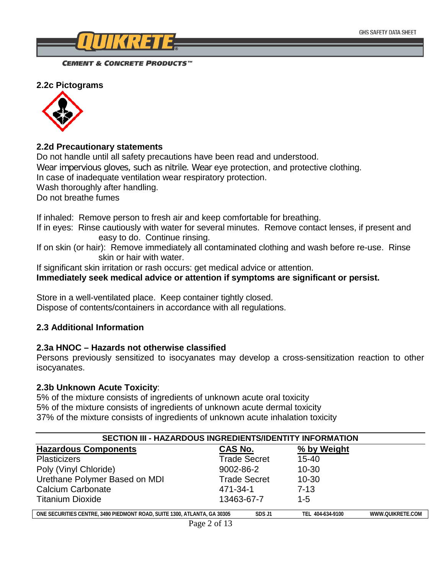

**2.2c Pictograms**



## **2.2d Precautionary statements**

Do not handle until all safety precautions have been read and understood. Wear impervious gloves, such as nitrile. Wear eye protection, and protective clothing. In case of inadequate ventilation wear respiratory protection. Wash thoroughly after handling. Do not breathe fumes

If inhaled: Remove person to fresh air and keep comfortable for breathing.

If in eyes: Rinse cautiously with water for several minutes. Remove contact lenses, if present and easy to do. Continue rinsing.

If on skin (or hair): Remove immediately all contaminated clothing and wash before re-use. Rinse skin or hair with water.

If significant skin irritation or rash occurs: get medical advice or attention.

**Immediately seek medical advice or attention if symptoms are significant or persist.**

Store in a well-ventilated place. Keep container tightly closed. Dispose of contents/containers in accordance with all regulations.

## **2.3 Additional Information**

## **2.3a HNOC – Hazards not otherwise classified**

Persons previously sensitized to isocyanates may develop a cross-sensitization reaction to other isocyanates.

## **2.3b Unknown Acute Toxicity**:

 $\overline{\phantom{a}}$ 

5% of the mixture consists of ingredients of unknown acute oral toxicity 5% of the mixture consists of ingredients of unknown acute dermal toxicity 37% of the mixture consists of ingredients of unknown acute inhalation toxicity

| SECTION III - HAZARDOUS INGREDIENTS/IDENTITY INFORMATION                 |            |                     |                  |                  |
|--------------------------------------------------------------------------|------------|---------------------|------------------|------------------|
| <b>Hazardous Components</b>                                              | CAS No.    |                     | % by Weight      |                  |
| <b>Plasticizers</b>                                                      |            | <b>Trade Secret</b> | $15 - 40$        |                  |
| Poly (Vinyl Chloride)                                                    | 9002-86-2  |                     | $10 - 30$        |                  |
| Urethane Polymer Based on MDI                                            |            | <b>Trade Secret</b> | $10 - 30$        |                  |
| <b>Calcium Carbonate</b>                                                 | 471-34-1   |                     | $7 - 13$         |                  |
| <b>Titanium Dioxide</b>                                                  | 13463-67-7 |                     | $1 - 5$          |                  |
| ONE SECURITIES CENTRE, 3490 PIEDMONT ROAD, SUITE 1300, ATLANTA, GA 30305 |            | SDS J1              | TEL 404-634-9100 | WWW.QUIKRETE.COM |
| $D_{0.000}$ $\uparrow$ of 12                                             |            |                     |                  |                  |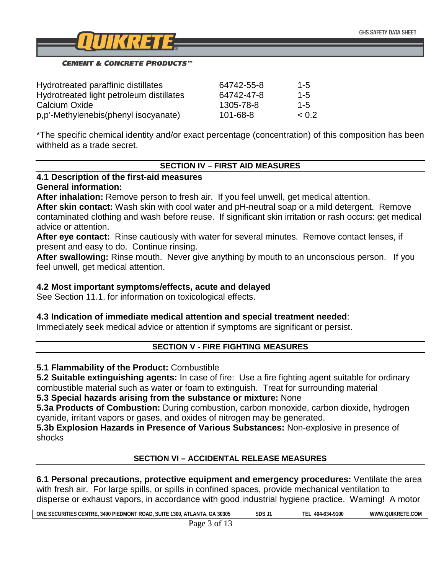

| Hydrotreated paraffinic distillates      | 64742-55-8 | $1 - 5$ |
|------------------------------------------|------------|---------|
| Hydrotreated light petroleum distillates | 64742-47-8 | $1 - 5$ |
| Calcium Oxide                            | 1305-78-8  | $1 - 5$ |
| p,p'-Methylenebis(phenyl isocyanate)     | 101-68-8   | < 0.2   |

\*The specific chemical identity and/or exact percentage (concentration) of this composition has been withheld as a trade secret.

## **SECTION IV – FIRST AID MEASURES**

#### **4.1 Description of the first-aid measures General information:**

**After inhalation:** Remove person to fresh air. If you feel unwell, get medical attention.

**After skin contact:** Wash skin with cool water and pH-neutral soap or a mild detergent. Remove contaminated clothing and wash before reuse. If significant skin irritation or rash occurs: get medical advice or attention.

**After eye contact:** Rinse cautiously with water for several minutes. Remove contact lenses, if present and easy to do. Continue rinsing.

**After swallowing:** Rinse mouth. Never give anything by mouth to an unconscious person. If you feel unwell, get medical attention.

## **4.2 Most important symptoms/effects, acute and delayed**

See Section 11.1. for information on toxicological effects.

## **4.3 Indication of immediate medical attention and special treatment needed**:

Immediately seek medical advice or attention if symptoms are significant or persist.

## **SECTION V - FIRE FIGHTING MEASURES**

## **5.1 Flammability of the Product:** Combustible

**5.2 Suitable extinguishing agents:** In case of fire: Use a fire fighting agent suitable for ordinary combustible material such as water or foam to extinguish. Treat for surrounding material

## **5.3 Special hazards arising from the substance or mixture:** None

**5.3a Products of Combustion:** During combustion, carbon monoxide, carbon dioxide, hydrogen cyanide, irritant vapors or gases, and oxides of nitrogen may be generated.

**5.3b Explosion Hazards in Presence of Various Substances:** Non-explosive in presence of shocks

## **SECTION VI – ACCIDENTAL RELEASE MEASURES**

**6.1 Personal precautions, protective equipment and emergency procedures:** Ventilate the area with fresh air. For large spills, or spills in confined spaces, provide mechanical ventilation to disperse or exhaust vapors, in accordance with good industrial hygiene practice. Warning! A motor

| 30305<br>TIES CENTRE.<br>LE SECURITIES<br>. 3490 PIEDMONT ROAD.<br><b>ONE</b><br><b>SUITE 1300</b><br>TLANTA.<br>. GA<br>J. A L | SDS J1 | 404-634-9100<br>1 E.L. | TE.COM<br>WW <sub></sub><br><i>I.</i> OUIKRETE. |
|---------------------------------------------------------------------------------------------------------------------------------|--------|------------------------|-------------------------------------------------|
| ∩1<br>ാനല                                                                                                                       |        |                        |                                                 |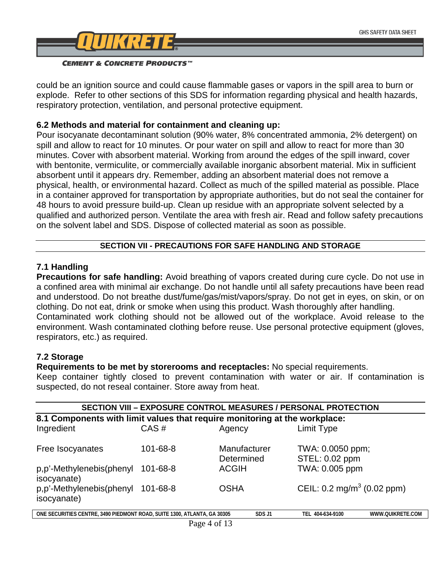

could be an ignition source and could cause flammable gases or vapors in the spill area to burn or explode. Refer to other sections of this SDS for information regarding physical and health hazards, respiratory protection, ventilation, and personal protective equipment.

## **6.2 Methods and material for containment and cleaning up:**

Pour isocyanate decontaminant solution (90% water, 8% concentrated ammonia, 2% detergent) on spill and allow to react for 10 minutes. Or pour water on spill and allow to react for more than 30 minutes. Cover with absorbent material. Working from around the edges of the spill inward, cover with bentonite, vermiculite, or commercially available inorganic absorbent material. Mix in sufficient absorbent until it appears dry. Remember, adding an absorbent material does not remove a physical, health, or environmental hazard. Collect as much of the spilled material as possible. Place in a container approved for transportation by appropriate authorities, but do not seal the container for 48 hours to avoid pressure build-up. Clean up residue with an appropriate solvent selected by a qualified and authorized person. Ventilate the area with fresh air. Read and follow safety precautions on the solvent label and SDS. Dispose of collected material as soon as possible.

## **SECTION VII - PRECAUTIONS FOR SAFE HANDLING AND STORAGE**

## **7.1 Handling**

**Precautions for safe handling:** Avoid breathing of vapors created during cure cycle. Do not use in a confined area with minimal air exchange. Do not handle until all safety precautions have been read and understood. Do not breathe dust/fume/gas/mist/vapors/spray. Do not get in eyes, on skin, or on clothing. Do not eat, drink or smoke when using this product. Wash thoroughly after handling. Contaminated work clothing should not be allowed out of the workplace. Avoid release to the

environment. Wash contaminated clothing before reuse. Use personal protective equipment (gloves, respirators, etc.) as required.

## **7.2 Storage**

 $\sqrt{2}$ 

**Requirements to be met by storerooms and receptacles:** No special requirements.

Keep container tightly closed to prevent contamination with water or air. If contamination is suspected, do not reseal container. Store away from heat.

| <b>SECTION VIII - EXPOSURE CONTROL MEASURES / PERSONAL PROTECTION</b>                                                         |          |                            |                                       |  |
|-------------------------------------------------------------------------------------------------------------------------------|----------|----------------------------|---------------------------------------|--|
| 8.1 Components with limit values that require monitoring at the workplace:                                                    |          |                            |                                       |  |
| Ingredient                                                                                                                    | CAS#     | Agency                     | Limit Type                            |  |
| Free Isocyanates                                                                                                              | 101-68-8 | Manufacturer<br>Determined | TWA: 0.0050 ppm;<br>STEL: 0.02 ppm    |  |
| p,p'-Methylenebis(phenyl<br>isocyanate)                                                                                       | 101-68-8 | <b>ACGIH</b>               | TWA: 0.005 ppm                        |  |
| p,p'-Methylenebis(phenyl<br>isocyanate)                                                                                       | 101-68-8 | <b>OSHA</b>                | CEIL: $0.2 \text{ mg/m}^3$ (0.02 ppm) |  |
| ONE SECURITIES CENTRE, 3490 PIEDMONT ROAD, SUITE 1300, ATLANTA, GA 30305<br>SDS J1<br>WWW.QUIKRETE.COM<br>404-634-9100<br>TFL |          |                            |                                       |  |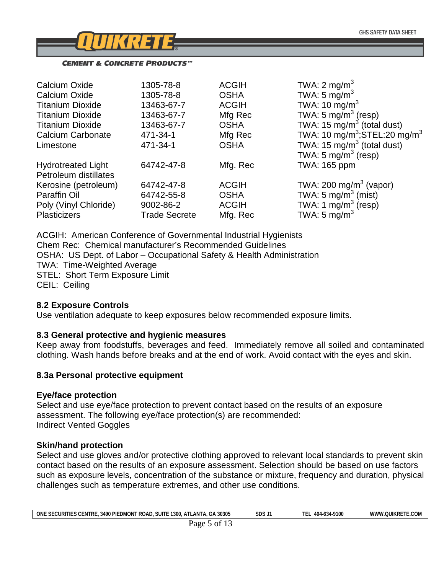

| 1305-78-8            | <b>ACGIH</b> | TWA: $2 \text{ mg/m}^3$                              |
|----------------------|--------------|------------------------------------------------------|
| 1305-78-8            | <b>OSHA</b>  | TWA: 5 mg/m <sup>3</sup>                             |
| 13463-67-7           | <b>ACGIH</b> | TWA: 10 mg/m <sup>3</sup>                            |
| 13463-67-7           | Mfg Rec      | TWA: 5 mg/m <sup>3</sup> (resp)                      |
| 13463-67-7           | <b>OSHA</b>  | TWA: 15 mg/m <sup>3</sup> (total dust)               |
| 471-34-1             | Mfg Rec      | TWA: 10 mg/m <sup>3</sup> ;STEL:20 mg/m <sup>3</sup> |
| 471-34-1             | <b>OSHA</b>  | TWA: 15 $mg/m3$ (total dust)                         |
|                      |              | TWA: 5 $mg/m3$ (resp)                                |
| 64742-47-8           | Mfg. Rec     | TWA: 165 ppm                                         |
|                      |              |                                                      |
| 64742-47-8           | <b>ACGIH</b> | TWA: 200 mg/m <sup>3</sup> (vapor)                   |
| 64742-55-8           | <b>OSHA</b>  | TWA: $5 \text{ mg/m}^3$ (mist)                       |
| 9002-86-2            | <b>ACGIH</b> | TWA: 1 $mg/m3$ (resp)                                |
| <b>Trade Secrete</b> | Mfg. Rec     | TWA: 5 mg/m <sup>3</sup>                             |
|                      |              |                                                      |

ACGIH: American Conference of Governmental Industrial Hygienists Chem Rec: Chemical manufacturer's Recommended Guidelines OSHA: US Dept. of Labor – Occupational Safety & Health Administration TWA: Time-Weighted Average STEL: Short Term Exposure Limit CEIL: Ceiling

## **8.2 Exposure Controls**

Use ventilation adequate to keep exposures below recommended exposure limits.

#### **8.3 General protective and hygienic measures**

Keep away from foodstuffs, beverages and feed. Immediately remove all soiled and contaminated clothing. Wash hands before breaks and at the end of work. Avoid contact with the eyes and skin.

#### **8.3a Personal protective equipment**

## **Eye/face protection**

Select and use eye/face protection to prevent contact based on the results of an exposure assessment. The following eye/face protection(s) are recommended: Indirect Vented Goggles

## **Skin/hand protection**

Select and use gloves and/or protective clothing approved to relevant local standards to prevent skin contact based on the results of an exposure assessment. Selection should be based on use factors such as exposure levels, concentration of the substance or mixture, frequency and duration, physical challenges such as temperature extremes, and other use conditions.

| 30305<br><b>ONE</b><br><b>ITIES CENTRE</b><br>. 3490 PIEDMONT ROAD.<br><b>SECURIT</b><br><b>SUIT</b><br>1300.<br>$A \times I$<br>. LAN<br>GΑ | SDS J | 404-634-9100<br>ш | <b>WOUIKRETT</b><br>$\sim$<br><b>WWV</b><br><b>IE.COM</b> |
|----------------------------------------------------------------------------------------------------------------------------------------------|-------|-------------------|-----------------------------------------------------------|
| .                                                                                                                                            |       |                   |                                                           |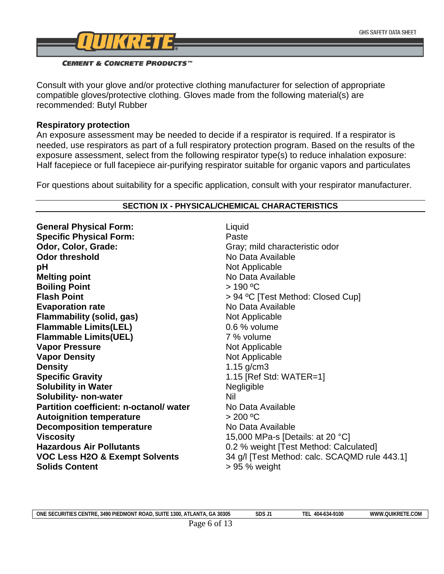

Consult with your glove and/or protective clothing manufacturer for selection of appropriate compatible gloves/protective clothing. Gloves made from the following material(s) are recommended: Butyl Rubber

## **Respiratory protection**

An exposure assessment may be needed to decide if a respirator is required. If a respirator is needed, use respirators as part of a full respiratory protection program. Based on the results of the exposure assessment, select from the following respirator type(s) to reduce inhalation exposure: Half facepiece or full facepiece air-purifying respirator suitable for organic vapors and particulates

For questions about suitability for a specific application, consult with your respirator manufacturer.

| <b>General Physical Form:</b>             | Liquid                                        |
|-------------------------------------------|-----------------------------------------------|
| <b>Specific Physical Form:</b>            | Paste                                         |
| Odor, Color, Grade:                       | Gray; mild characteristic odor                |
| <b>Odor threshold</b>                     | No Data Available                             |
| pH                                        | Not Applicable                                |
| <b>Melting point</b>                      | No Data Available                             |
| <b>Boiling Point</b>                      | $>190^{\circ}$ C                              |
| <b>Flash Point</b>                        | > 94 °C [Test Method: Closed Cup]             |
| <b>Evaporation rate</b>                   | No Data Available                             |
| <b>Flammability (solid, gas)</b>          | Not Applicable                                |
| <b>Flammable Limits(LEL)</b>              | 0.6 % volume                                  |
| <b>Flammable Limits(UEL)</b>              | 7 % volume                                    |
| <b>Vapor Pressure</b>                     | Not Applicable                                |
| <b>Vapor Density</b>                      | Not Applicable                                |
| <b>Density</b>                            | $1.15$ g/cm3                                  |
| <b>Specific Gravity</b>                   | 1.15 [Ref Std: $WATER=1$ ]                    |
| <b>Solubility in Water</b>                | Negligible                                    |
| Solubility- non-water                     | Nil                                           |
| Partition coefficient: n-octanol/water    | No Data Available                             |
| <b>Autoignition temperature</b>           | > 200 °C                                      |
| <b>Decomposition temperature</b>          | No Data Available                             |
| <b>Viscosity</b>                          | 15,000 MPa-s [Details: at 20 °C]              |
| <b>Hazardous Air Pollutants</b>           | 0.2 % weight [Test Method: Calculated]        |
| <b>VOC Less H2O &amp; Exempt Solvents</b> | 34 g/l [Test Method: calc. SCAQMD rule 443.1] |
| <b>Solids Content</b>                     | $> 95 %$ weight                               |

#### **SECTION IX - PHYSICAL/CHEMICAL CHARACTERISTICS**

| A 30305<br>ONE<br><b>SUIT</b><br>1300.<br>_∪RI™<br>---<br><b>S CENTRE</b><br>3490<br>PIE<br>™⊾<br>:DMON<br>. LAN'<br>™ ROA∟<br>.GP<br>/\ I<br>5FI<br>. | c <sub>nc</sub><br>בעכ | 404-<br>9100<br>റാഴ | .COM<br><b>OUIKR.</b><br><b>MWW</b> |
|--------------------------------------------------------------------------------------------------------------------------------------------------------|------------------------|---------------------|-------------------------------------|
|                                                                                                                                                        |                        |                     |                                     |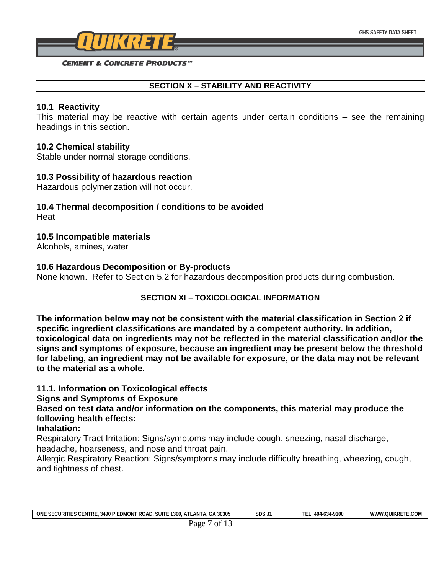

## **SECTION X – STABILITY AND REACTIVITY**

## **10.1 Reactivity**

This material may be reactive with certain agents under certain conditions – see the remaining headings in this section.

## **10.2 Chemical stability**

Stable under normal storage conditions.

## **10.3 Possibility of hazardous reaction**

Hazardous polymerization will not occur.

## **10.4 Thermal decomposition / conditions to be avoided Heat**

## **10.5 Incompatible materials**

Alcohols, amines, water

## **10.6 Hazardous Decomposition or By-products**

None known. Refer to Section 5.2 for hazardous decomposition products during combustion.

## **SECTION XI – TOXICOLOGICAL INFORMATION**

**The information below may not be consistent with the material classification in Section 2 if specific ingredient classifications are mandated by a competent authority. In addition, toxicological data on ingredients may not be reflected in the material classification and/or the signs and symptoms of exposure, because an ingredient may be present below the threshold for labeling, an ingredient may not be available for exposure, or the data may not be relevant to the material as a whole.**

## **11.1. Information on Toxicological effects**

## **Signs and Symptoms of Exposure**

**Based on test data and/or information on the components, this material may produce the following health effects:**

## **Inhalation:**

Respiratory Tract Irritation: Signs/symptoms may include cough, sneezing, nasal discharge, headache, hoarseness, and nose and throat pain.

Allergic Respiratory Reaction: Signs/symptoms may include difficulty breathing, wheezing, cough, and tightness of chest.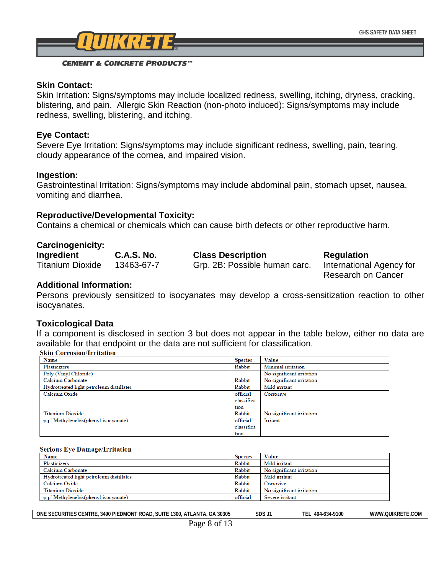

## **Skin Contact:**

Skin Irritation: Signs/symptoms may include localized redness, swelling, itching, dryness, cracking, blistering, and pain. Allergic Skin Reaction (non-photo induced): Signs/symptoms may include redness, swelling, blistering, and itching.

#### **Eye Contact:**

Severe Eye Irritation: Signs/symptoms may include significant redness, swelling, pain, tearing, cloudy appearance of the cornea, and impaired vision.

## **Ingestion:**

Gastrointestinal Irritation: Signs/symptoms may include abdominal pain, stomach upset, nausea, vomiting and diarrhea.

## **Reproductive/Developmental Toxicity:**

Contains a chemical or chemicals which can cause birth defects or other reproductive harm.

#### **Carcinogenicity:**

| Ingredient              | <b>C.A.S. No.</b> | <b>Class Description</b>      | <b>Regulation</b>         |
|-------------------------|-------------------|-------------------------------|---------------------------|
| <b>Titanium Dioxide</b> | 13463-67-7        | Grp. 2B: Possible human carc. | International Agency for  |
|                         |                   |                               | <b>Research on Cancer</b> |

### **Additional Information:**

Persons previously sensitized to isocyanates may develop a cross-sensitization reaction to other isocyanates.

#### **Toxicological Data**

If a component is disclosed in section 3 but does not appear in the table below, either no data are available for that endpoint or the data are not sufficient for classification.<br>Skin Corrosion/Irritation

| <b>Name</b>                              | <b>Species</b> | <b>Value</b>              |
|------------------------------------------|----------------|---------------------------|
| Plasticizers                             | Rabbit         | Minimal irritation        |
| Poly (Vinyl Chloride)                    |                | No significant irritation |
| Calcium Carbonate                        | Rabbit         | No significant irritation |
| Hydrotreated light petroleum distillates | Rabbit         | Mild irritant             |
| Calcium Oxide                            | official       | Corrosive                 |
|                                          | classifica     |                           |
|                                          | tion           |                           |
| <b>Titanium Dioxide</b>                  | Rabbit         | No significant irritation |
| p.p'-Methylenebis(phenyl isocyanate)     | official       | Irritant                  |
|                                          | classifica     |                           |
|                                          | f(x)           |                           |

#### **Serious Eye Damage/Irritation**

| Name                                     | <b>Species</b> | <b>Value</b>              |
|------------------------------------------|----------------|---------------------------|
| <b>Plasticizers</b>                      | Rabbit         | Mild irritant             |
| Calcium Carbonate                        | Rabbit         | No significant irritation |
| Hydrotreated light petroleum distillates | Rabbit         | Mild irritant             |
| Calcium Oxide                            | Rabbit         | Corrosive                 |
| <b>Titanium Dioxide</b>                  | Rabbit         | No significant irritation |
| p,p'-Methylenebis(phenyl isocyanate)     | official       | Severe irritant           |

| 30305<br>one<br>' ROAD<br><b>S CENTRE</b><br><b>SECURI</b><br><b>ITIES</b><br>1300.<br><b>SUITE</b><br>.3490 PIEDMONT<br>$\overline{\phantom{a}}$<br>.AN<br>$\mathbf{H}$ | cnc<br>J U J | -634-9100<br>404-6<br>Έ. | ∵.COM<br>$^{\prime\prime}$ MMM $_{\prime}$ .<br>.ouikr |
|--------------------------------------------------------------------------------------------------------------------------------------------------------------------------|--------------|--------------------------|--------------------------------------------------------|
|                                                                                                                                                                          |              |                          |                                                        |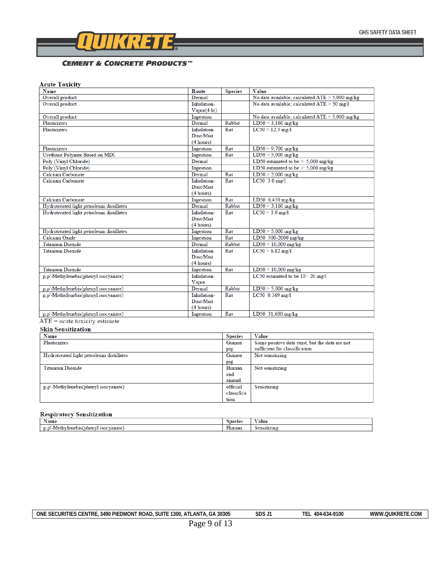

## **Acute Toxicity**

| Name                                     | Route                      | <b>Species</b> | Value                                             |
|------------------------------------------|----------------------------|----------------|---------------------------------------------------|
| Overall product                          | Dermal                     |                | No data available; calculated $ATE > 5,000$ mg/kg |
| Overall product                          | Inhalation-<br>Vapor(4 hr) |                | No data available; calculated $ATE > 50$ mg/l     |
| Overall product                          | Ingestion                  |                | No data available; calculated $ATE > 5,000$ mg/kg |
| Plasticizers                             | Dermal                     | Rabbit         | $LD50 > 3,160$ mg/kg                              |
| <b>Plasticizers</b>                      | Inhalation-                | Rat            | $LC50 > 12.5$ mg/l                                |
|                                          | Dust/Mist                  |                |                                                   |
|                                          | (4 hours)                  |                |                                                   |
| <b>Plasticizers</b>                      | Ingestion                  | Rat            | $LD50 > 9,700$ mg/kg                              |
| Urethane Polymer Based on MDI            | Ingestion                  | Rat            | $LD50 > 5,000$ mg/kg                              |
| Poly (Vinyl Chloride)                    | Dermal                     |                | LD50 estimated to be $> 5,000$ mg/kg              |
| Poly (Vinyl Chloride)                    | Ingestion                  |                | LD50 estimated to be $> 5,000$ mg/kg              |
| Calcium Carbonate                        | Dermal                     | Rat            | $LD50 > 2,000$ mg/kg                              |
| Calcium Carbonate                        | Inhalation-                | Rat            | $LC50$ 3.0 mg/l                                   |
|                                          | Dust/Mist                  |                |                                                   |
|                                          | (4 hours)                  |                |                                                   |
| Calcium Carbonate                        | Ingestion                  | Rat            | LD50 6,450 mg/kg                                  |
| Hydrotreated light petroleum distillates | Dermal                     | Rabbit         | $LD50 > 3,160$ mg/kg                              |
| Hydrotreated light petroleum distillates | Inhalation-                | Rat            | $LC50 > 3.0$ mg/l                                 |
|                                          | Dust/Mist                  |                |                                                   |
|                                          | (4 hours)                  |                |                                                   |
| Hydrotreated light petroleum distillates | Ingestion                  | Rat            | $LD50 > 5,000$ mg/kg                              |
| Calcium Oxide                            | Ingestion                  | Rat            | LD50 500-2000 mg/kg                               |
| <b>Titanium Dioxide</b>                  | Dermal                     | Rabbit         | $LD50 > 10,000$ mg/kg                             |
| <b>Titanium Dioxide</b>                  | Inhalation-                | Rat            | $LC50 > 6.82$ mg/l                                |
|                                          | Dust/Mist                  |                |                                                   |
|                                          | (4 hours)                  |                |                                                   |
| <b>Titanium Dioxide</b>                  | Ingestion                  | Rat            | $LD50 > 10,000$ mg/kg                             |
| p.p'-Methylenebis(phenyl isocyanate)     | Inhalation-                |                | LC50 estimated to be 10 - 20 mg/l                 |
|                                          | Vapor                      |                |                                                   |
| p,p'-Methylenebis(phenyl isocyanate)     | Dermal                     | Rabbit         | $LD50 > 5,000$ mg/kg                              |
| p.p'-Methylenebis(phenyl isocyanate)     | Inhalation-                | Rat            | LC50 0.369 mg/l                                   |
|                                          | Dust/Mist                  |                |                                                   |
|                                          | (4 hours)                  |                |                                                   |
| p,p'-Methylenebis(phenyl isocyanate)     | Ingestion                  | Rat            | LD50 31,600 mg/kg                                 |
| $ATE = acute$ toxicity estimate          |                            |                |                                                   |

#### **Skin Sensitization**

| Name                                     | <b>Species</b> | <b>Value</b>                                   |
|------------------------------------------|----------------|------------------------------------------------|
| Plasticizers                             | Guinea         | Some positive data exist, but the data are not |
|                                          | pig            | sufficient for classification                  |
| Hydrotreated light petroleum distillates | Guinea         | Not sensitizing                                |
|                                          | pig            |                                                |
| <b>Titanium Dioxide</b>                  | Human          | Not sensitizing                                |
|                                          | and            |                                                |
|                                          | animal         |                                                |
| p,p'-Methylenebis(phenyl isocyanate)     | official       | Sensitizing                                    |
|                                          | classifica     |                                                |
|                                          | tion           |                                                |

#### **Respiratory Sensitization**

| -33<br>Name                                                  | Shectes | -<br>alue |
|--------------------------------------------------------------|---------|-----------|
| <b>ALL OF</b><br>$\cdots$<br>-ivietn<br>vanate<br><b>MAG</b> | Human   | 5162411   |

| ATLANTA.<br>1300.<br><b>CURITIES CENTRE</b><br>GA 30305<br>.3490 PIEDMONT<br><b>SUITE</b><br><b>ONE</b><br>" ROAD.<br>╲⊦ | SDS J | <b>TEL</b><br>404-634-9100 | E.COM<br>WWW.OUIKRFTF. |
|--------------------------------------------------------------------------------------------------------------------------|-------|----------------------------|------------------------|
|                                                                                                                          |       |                            |                        |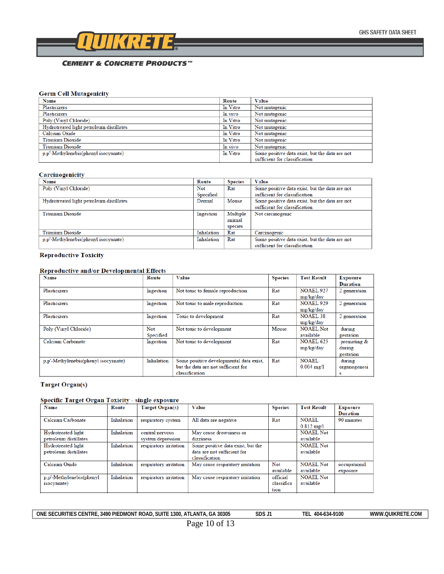

#### **Germ Cell Mutagenicity**

| <b>Name</b>                              | Route    | Value                                                                           |
|------------------------------------------|----------|---------------------------------------------------------------------------------|
| Plasticizers                             | In Vitro | Not mutagenic                                                                   |
| Plasticizers                             | In vivo  | Not mutagenic                                                                   |
| Poly (Vinyl Chloride)                    | In Vitro | Not mutagenic                                                                   |
| Hydrotreated light petroleum distillates | In Vitro | Not mutagenic                                                                   |
| Calcium Oxide                            | In Vitro | Not mutagenic                                                                   |
| <b>Titanium Dioxide</b>                  | In Vitro | Not mutagenic                                                                   |
| Titanium Dioxide                         | In vivo  | Not mutagenic                                                                   |
| p,p'-Methylenebis(phenyl isocyanate)     | In Vitro | Some positive data exist, but the data are not<br>sufficient for classification |

#### Carcinogenicity

| Name                                     | Route      | <b>Species</b> | Value                                          |
|------------------------------------------|------------|----------------|------------------------------------------------|
| Poly (Vinyl Chloride)                    | Not        | Rat            | Some positive data exist, but the data are not |
|                                          | Specified  |                | sufficient for classification                  |
| Hydrotreated light petroleum distillates | Dermal     | Mouse          | Some positive data exist, but the data are not |
|                                          |            |                | sufficient for classification                  |
| <b>Titanium Dioxide</b>                  | Ingestion  | Multiple       | Not carcinogenic                               |
|                                          |            | animal         |                                                |
|                                          |            | species        |                                                |
| <b>Titanium Dioxide</b>                  | Inhalation | Rat            | Carcinogenic                                   |
| p.p'-Methylenebis(phenyl isocyanate)     | Inhalation | Rat            | Some positive data exist, but the data are not |
|                                          |            |                | sufficient for classification                  |

#### **Reproductive Toxicity**

#### Reproductive and/or Developmental Effects

| <b>Name</b>                          | Route      | Value                                   | <b>Species</b> | <b>Test Result</b>   | <b>Exposure</b> |
|--------------------------------------|------------|-----------------------------------------|----------------|----------------------|-----------------|
|                                      |            |                                         |                |                      | <b>Duration</b> |
| <b>Plasticizers</b>                  | Ingestion  | Not toxic to female reproduction        | Rat            | <b>NOAEL 927</b>     | 2 generation    |
|                                      |            |                                         |                | mg/kg/day            |                 |
| Plasticizers                         | Ingestion  | Not toxic to male reproduction          | Rat            | <b>NOAEL 929</b>     | 2 generation    |
|                                      |            |                                         |                | mg/kg/day            |                 |
| Plasticizers                         | Ingestion  | Toxic to development                    | Rat            | <b>NOAEL 38</b>      | 2 generation    |
|                                      |            |                                         |                | mg/kg/day            |                 |
| Poly (Vinyl Chloride)                | <b>Not</b> | Not toxic to development                | Mouse          | NOAEL Not            | during          |
|                                      | Specified  |                                         |                | available            | gestation       |
| Calcium Carbonate                    | Ingestion  | Not toxic to development                | Rat            | <b>NOAEL 625</b>     | premating &     |
|                                      |            |                                         |                | mg/kg/day            | during          |
|                                      |            |                                         |                |                      | gestation       |
| p.p'-Methylenebis(phenyl isocyanate) | Inhalation | Some positive developmental data exist, | Rat            | <b>NOAEL</b>         | during          |
|                                      |            | but the data are not sufficient for     |                | $0.004 \text{ mg}/1$ | organogenesi    |
|                                      |            | classification                          |                |                      | s               |

#### **Target Organ(s)**

#### Specific Target Organ Toxicity - single exposure

| <b>Name</b>              | Route      | Target Organ(s)        | <b>Value</b>                      | <b>Species</b> | <b>Test Result</b>   | <b>Exposure</b><br><b>Duration</b> |
|--------------------------|------------|------------------------|-----------------------------------|----------------|----------------------|------------------------------------|
| Calcium Carbonate        | Inhalation | respiratory system     | All data are negative             | Rat            | <b>NOAEL</b>         | 90 minutes                         |
|                          |            |                        |                                   |                | $0.812 \text{ mg}/1$ |                                    |
| Hydrotreated light       | Inhalation | central nervous        | May cause drowsiness or           |                | <b>NOAEL Not</b>     |                                    |
| petroleum distillates    |            | system depression      | dizziness                         |                | available            |                                    |
| Hydrotreated light       | Inhalation | respiratory irritation | Some positive data exist, but the |                | <b>NOAEL Not</b>     |                                    |
| petroleum distillates    |            |                        | data are not sufficient for       |                | available            |                                    |
|                          |            |                        | classification                    |                |                      |                                    |
| Calcium Oxide            | Inhalation | respiratory irritation | May cause respiratory irritation  | Not            | <b>NOAEL Not</b>     | occupational                       |
|                          |            |                        |                                   | available      | available            | exposure                           |
| p.p'-Methylenebis(phenyl | Inhalation | respiratory irritation | May cause respiratory irritation  | official       | NOAEL Not            |                                    |
| <i>isocyanate</i> )      |            |                        |                                   | classifica     | available            |                                    |
|                          |            |                        |                                   | tion           |                      |                                    |

ONE SECURITIES CENTRE, 3490 PIEDMONT ROAD, SUITE 1300, ATLANTA, GA 30305 SDS J1 TEL 404-634-9100 WWW.QUIKRETE.COM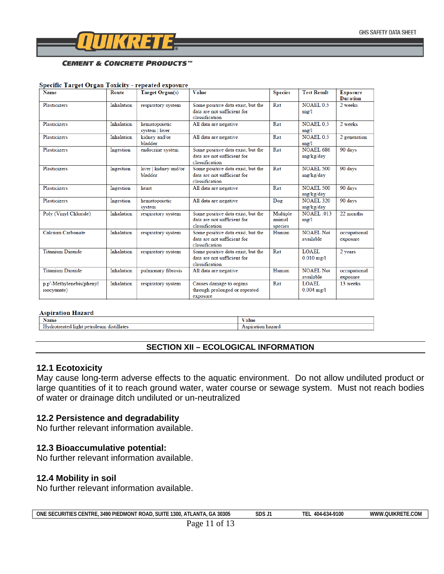

#### Specific Target Organ Toxicity - repeated exposure

| <b>Name</b>                                     | Route      | Target Organ(s)                  | Value                                                                              | <b>Species</b>                | <b>Test Result</b>                   | <b>Exposure</b><br><b>Duration</b> |
|-------------------------------------------------|------------|----------------------------------|------------------------------------------------------------------------------------|-------------------------------|--------------------------------------|------------------------------------|
| <b>Plasticizers</b>                             | Inhalation | respiratory system               | Some positive data exist, but the<br>data are not sufficient for<br>classification | Rat                           | <b>NOAEL 0.5</b><br>mg/1             | 2 weeks                            |
| <b>Plasticizers</b>                             | Inhalation | hematopoietic<br>system   liver  | All data are negative                                                              | Rat                           | <b>NOAEL 0.5</b><br>mg/1             | 2 weeks                            |
| Plasticizers                                    | Inhalation | kidney and/or<br>bladder         | All data are negative                                                              | Rat                           | <b>NOAEL 0.5</b><br>mg/1             | 2 generation                       |
| <b>Plasticizers</b>                             | Ingestion  | endocrine system                 | Some positive data exist, but the<br>data are not sufficient for<br>classification | Rat                           | <b>NOAEL 686</b><br>mg/kg/day        | 90 days                            |
| <b>Plasticizers</b>                             | Ingestion  | liver   kidney and/or<br>bladder | Some positive data exist, but the<br>data are not sufficient for<br>classification | Rat                           | <b>NOAEL 500</b><br>mg/kg/day        | 90 days                            |
| Plasticizers                                    | Ingestion  | heart                            | All data are negative                                                              | Rat                           | <b>NOAEL 500</b><br>mg/kg/day        | 90 days                            |
| <b>Plasticizers</b>                             | Ingestion  | hematopoietic<br>system          | All data are negative                                                              | Dog                           | <b>NOAEL 320</b><br>mg/kg/day        | 90 days                            |
| Poly (Vinyl Chloride)                           | Inhalation | respiratory system               | Some positive data exist, but the<br>data are not sufficient for<br>classification | Multiple<br>animal<br>species | <b>NOAEL 013</b><br>mg/1             | 22 months                          |
| Calcium Carbonate                               | Inhalation | respiratory system               | Some positive data exist, but the<br>data are not sufficient for<br>classification | Human                         | <b>NOAEL Not</b><br>available        | occupational<br>exposure           |
| <b>Titanium Dioxide</b>                         | Inhalation | respiratory system               | Some positive data exist, but the<br>data are not sufficient for<br>classification | Rat                           | <b>LOAEL</b><br>$0.010 \text{ mg}/1$ | 2 years                            |
| <b>Titanium Dioxide</b>                         | Inhalation | pulmonary fibrosis               | All data are negative                                                              | Human                         | <b>NOAEL Not</b><br>available        | occupational<br>exposure           |
| p.p'-Methylenebis(phenyl<br><i>isocyanate</i> ) | Inhalation | respiratory system               | Causes damage to organs<br>through prolonged or repeated<br>exposure               | Rat                           | <b>LOAEL</b><br>$0.004$ mg/l         | 13 weeks                           |

### **Aspiration Hazard**

| -33                                                                         | $\cdot$ |
|-----------------------------------------------------------------------------|---------|
| Name                                                                        | alue    |
| distillate <sup>r</sup><br>11gnt<br>eated<br>olelim<br>നല<br>оп<br>.<br>. . | hazard  |

#### **SECTION XII – ECOLOGICAL INFORMATION**

#### **12.1 Ecotoxicity**

May cause long-term adverse effects to the aquatic environment.Do not allow undiluted product or large quantities of it to reach ground water, water course or sewage system. Must not reach bodies of water or drainage ditch undiluted or un-neutralized

## **12.2 Persistence and degradability**

No further relevant information available.

## **12.3 Bioaccumulative potential:**

No further relevant information available.

#### **12.4 Mobility in soil**

No further relevant information available.

| <b>ONE</b><br><b>SE</b><br>:Curities<br>S CENTRE<br>. 3490 PIEDMONT ROAD.<br><b>SUITE</b><br>30305<br>ATI<br>1300.<br>.ıLANTA<br>GA | SDS J | $-634 - 9100$<br>−<br>404-<br>-- | TE.COM<br>.OUIKRET<br>www.<br>. |
|-------------------------------------------------------------------------------------------------------------------------------------|-------|----------------------------------|---------------------------------|
|-------------------------------------------------------------------------------------------------------------------------------------|-------|----------------------------------|---------------------------------|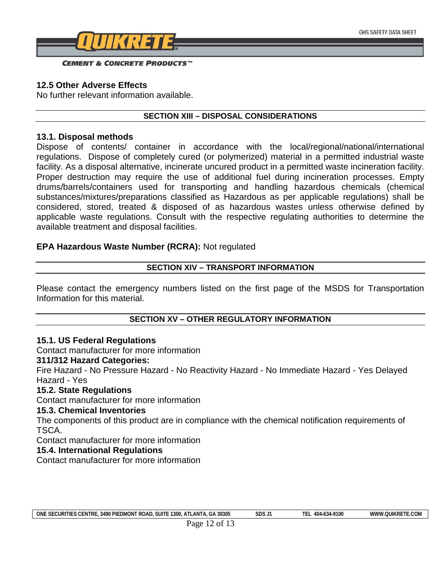

## **12.5 Other Adverse Effects**

No further relevant information available.

## **SECTION XIII – DISPOSAL CONSIDERATIONS**

## **13.1. Disposal methods**

Dispose of contents/ container in accordance with the local/regional/national/international regulations. Dispose of completely cured (or polymerized) material in a permitted industrial waste facility. As a disposal alternative, incinerate uncured product in a permitted waste incineration facility. Proper destruction may require the use of additional fuel during incineration processes. Empty drums/barrels/containers used for transporting and handling hazardous chemicals (chemical substances/mixtures/preparations classified as Hazardous as per applicable regulations) shall be considered, stored, treated & disposed of as hazardous wastes unless otherwise defined by applicable waste regulations. Consult with the respective regulating authorities to determine the available treatment and disposal facilities.

## **EPA Hazardous Waste Number (RCRA):** Not regulated

## **SECTION XIV – TRANSPORT INFORMATION**

Please contact the emergency numbers listed on the first page of the MSDS for Transportation Information for this material.

## **SECTION XV – OTHER REGULATORY INFORMATION**

## **15.1. US Federal Regulations**

Contact manufacturer for more information

## **311/312 Hazard Categories:**

Fire Hazard - No Pressure Hazard - No Reactivity Hazard - No Immediate Hazard - Yes Delayed Hazard - Yes

## **15.2. State Regulations**

Contact manufacturer for more information

## **15.3. Chemical Inventories**

The components of this product are in compliance with the chemical notification requirements of TSCA.

Contact manufacturer for more information

## **15.4. International Regulations**

Contact manufacturer for more information